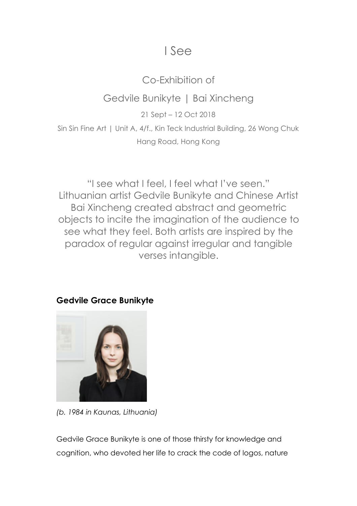# I See

## Co-Exhibition of

### Gedvile Bunikyte | Bai Xincheng

21 Sept – 12 Oct 2018

Sin Sin Fine Art | Unit A, 4/f., Kin Teck Industrial Building, 26 Wong Chuk Hang Road, Hong Kong

"I see what I feel, I feel what I've seen." Lithuanian artist Gedvile Bunikyte and Chinese Artist Bai Xincheng created abstract and geometric objects to incite the imagination of the audience to see what they feel. Both artists are inspired by the paradox of regular against irregular and tangible verses intangible.

### **Gedvile Grace Bunikyte**



*(b. 1984 in Kaunas, Lithuania)*

Gedvile Grace Bunikyte is one of those thirsty for knowledge and cognition, who devoted her life to crack the code of logos, nature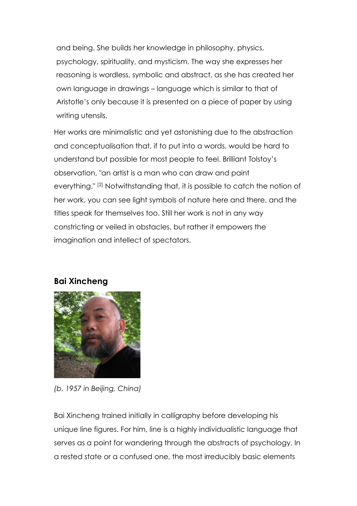and being. She builds her knowledge in philosophy, physics, psychology, spirituality, and mysticism. The way she expresses her reasoning is wordless, symbolic and abstract, as she has created her own language in drawings – language which is similar to that of Aristotle's only because it is presented on a piece of paper by using writing utensils.

Her works are minimalistic and yet astonishing due to the abstraction and conceptualisation that, if to put into a words, would be hard to understand but possible for most people to feel. Brilliant Tolstoy's observation, "an artist is a man who can draw and paint everything." [2] Notwithstanding that, it is possible to catch the notion of her work, you can see light symbols of nature here and there, and the titles speak for themselves too. Still her work is not in any way constricting or veiled in obstacles, but rather it empowers the imagination and intellect of spectators.

#### **Bai Xincheng**



*(b. 1957 in Beijing, China)*

Bai Xincheng trained initially in calligraphy before developing his unique line figures. For him, line is a highly individualistic language that serves as a point for wandering through the abstracts of psychology. In a rested state or a confused one, the most irreducibly basic elements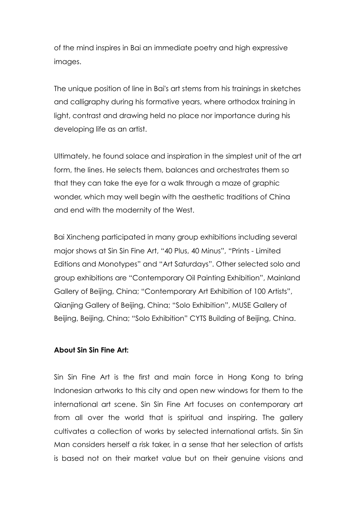of the mind inspires in Bai an immediate poetry and high expressive images.

The unique position of line in Bai's art stems from his trainings in sketches and calligraphy during his formative years, where orthodox training in light, contrast and drawing held no place nor importance during his developing life as an artist.

Ultimately, he found solace and inspiration in the simplest unit of the art form, the lines. He selects them, balances and orchestrates them so that they can take the eye for a walk through a maze of graphic wonder, which may well begin with the aesthetic traditions of China and end with the modernity of the West.

Bai Xincheng participated in many group exhibitions including several major shows at Sin Sin Fine Art, "40 Plus, 40 Minus", "Prints - Limited Editions and Monotypes" and "Art Saturdays". Other selected solo and group exhibitions are "Contemporary Oil Painting Exhibition", Mainland Gallery of Beijing, China; "Contemporary Art Exhibition of 100 Artists", Qianjing Gallery of Beijing, China; "Solo Exhibition", MUSE Gallery of Beijing, Beijing, China; "Solo Exhibition" CYTS Building of Beijing, China.

#### **About Sin Sin Fine Art:**

Sin Sin Fine Art is the first and main force in Hong Kong to bring Indonesian artworks to this city and open new windows for them to the international art scene. Sin Sin Fine Art focuses on contemporary art from all over the world that is spiritual and inspiring. The gallery cultivates a collection of works by selected international artists. Sin Sin Man considers herself a risk taker, in a sense that her selection of artists is based not on their market value but on their genuine visions and